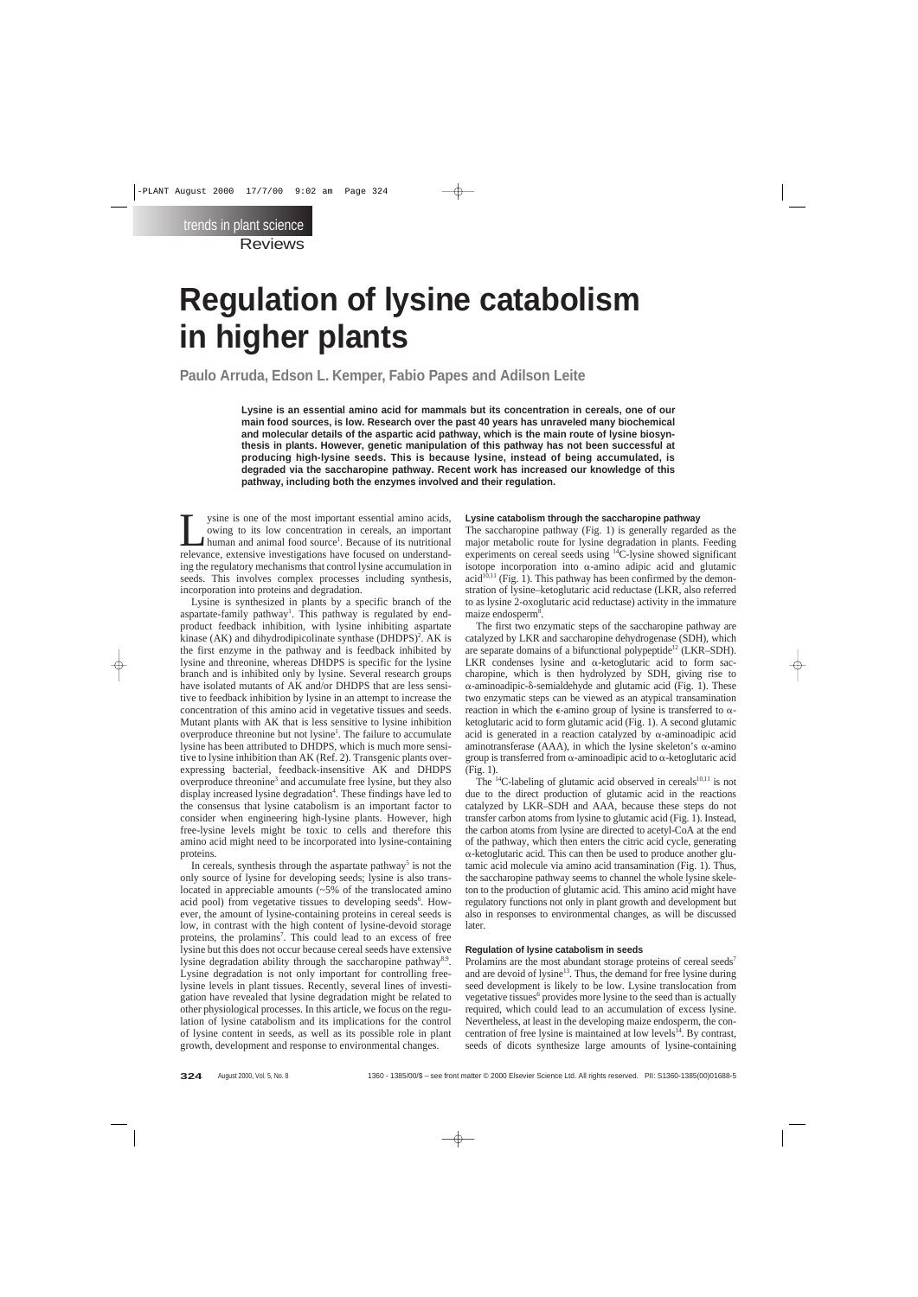# **Regulation of lysine catabolism in higher plants**

**Paulo Arruda, Edson L. Kemper, Fabio Papes and Adilson Leite**

**Lysine is an essential amino acid for mammals but its concentration in cereals, one of our main food sources, is low. Research over the past 40 years has unraveled many biochemical and molecular details of the aspartic acid pathway, which is the main route of lysine biosynthesis in plants. However, genetic manipulation of this pathway has not been successful at producing high-lysine seeds. This is because lysine, instead of being accumulated, is degraded via the saccharopine pathway. Recent work has increased our knowledge of this pathway, including both the enzymes involved and their regulation.**

y sine is one of the most important essential amino acids,<br>
owing to its low concentration in cereals, an important<br>
human and animal food source<sup>1</sup>. Because of its nutritional<br>
relevance extensive investigations have focu owing to its low concentration in cereals, an important relevance, extensive investigations have focused on understanding the regulatory mechanisms that control lysine accumulation in seeds. This involves complex processes including synthesis, incorporation into proteins and degradation.

Lysine is synthesized in plants by a specific branch of the aspartate-family pathway<sup>1</sup>. This pathway is regulated by endproduct feedback inhibition, with lysine inhibiting aspartate kinase  $(AK)$  and dihydrodipicolinate synthase  $(DHDPS)^2$ . AK is the first enzyme in the pathway and is feedback inhibited by lysine and threonine, whereas DHDPS is specific for the lysine branch and is inhibited only by lysine. Several research groups have isolated mutants of AK and/or DHDPS that are less sensitive to feedback inhibition by lysine in an attempt to increase the concentration of this amino acid in vegetative tissues and seeds. Mutant plants with AK that is less sensitive to lysine inhibition overproduce threonine but not lysine<sup>1</sup>. The failure to accumulate lysine has been attributed to DHDPS, which is much more sensitive to lysine inhibition than AK (Ref. 2). Transgenic plants overexpressing bacterial, feedback-insensitive AK and DHDPS overproduce threonine<sup>3</sup> and accumulate free lysine, but they also display increased lysine degradation<sup>4</sup>. These findings have led to the consensus that lysine catabolism is an important factor to consider when engineering high-lysine plants. However, high free-lysine levels might be toxic to cells and therefore this amino acid might need to be incorporated into lysine-containing proteins.

In cereals, synthesis through the aspartate pathway<sup>5</sup> is not the only source of lysine for developing seeds; lysine is also translocated in appreciable amounts ( $\sim$ 5% of the translocated amino acid pool) from vegetative tissues to developing seeds<sup>6</sup>. However, the amount of lysine-containing proteins in cereal seeds is low, in contrast with the high content of lysine-devoid storage proteins, the prolamins<sup>7</sup>. This could lead to an excess of free lysine but this does not occur because cereal seeds have extensive lysine degradation ability through the saccharopine pathway<sup>8,9</sup>. Lysine degradation is not only important for controlling freelysine levels in plant tissues. Recently, several lines of investigation have revealed that lysine degradation might be related to other physiological processes. In this article, we focus on the regulation of lysine catabolism and its implications for the control of lysine content in seeds, as well as its possible role in plant growth, development and response to environmental changes.

#### **Lysine catabolism through the saccharopine pathway**

The saccharopine pathway (Fig. 1) is generally regarded as the major metabolic route for lysine degradation in plants. Feeding experiments on cereal seeds using  $14$ C-lysine showed significant isotope incorporation into  $\alpha$ -amino adipic acid and glutamic acid<sup>10,11</sup> (Fig. 1). This pathway has been confirmed by the demonstration of lysine–ketoglutaric acid reductase (LKR, also referred to as lysine 2-oxoglutaric acid reductase) activity in the immature maize endosperm<sup>8</sup>.

The first two enzymatic steps of the saccharopine pathway are catalyzed by LKR and saccharopine dehydrogenase (SDH), which are separate domains of a bifunctional polypeptide<sup>12</sup> (LKR–SDH). LKR condenses lysine and  $\alpha$ -ketoglutaric acid to form saccharopine, which is then hydrolyzed by SDH, giving rise to  $\alpha$ -aminoadipic- $\delta$ -semialdehyde and glutamic acid (Fig. 1). These two enzymatic steps can be viewed as an atypical transamination reaction in which the  $\epsilon$ -amino group of lysine is transferred to  $\alpha$ ketoglutaric acid to form glutamic acid (Fig. 1). A second glutamic acid is generated in a reaction catalyzed by  $\alpha$ -aminoadipic acid aminotransferase (AAA), in which the lysine skeleton's  $\alpha$ -amino group is transferred from  $\alpha$ -aminoadipic acid to  $\alpha$ -ketoglutaric acid (Fig. 1).

The  $^{14}$ C-labeling of glutamic acid observed in cereals $^{10,11}$  is not due to the direct production of glutamic acid in the reactions catalyzed by LKR–SDH and AAA, because these steps do not transfer carbon atoms from lysine to glutamic acid (Fig. 1). Instead, the carbon atoms from lysine are directed to acetyl-CoA at the end of the pathway, which then enters the citric acid cycle, generating  $\alpha$ -ketoglutaric acid. This can then be used to produce another glutamic acid molecule via amino acid transamination (Fig. 1). Thus, the saccharopine pathway seems to channel the whole lysine skeleton to the production of glutamic acid. This amino acid might have regulatory functions not only in plant growth and development but also in responses to environmental changes, as will be discussed later.

#### **Regulation of lysine catabolism in seeds**

Prolamins are the most abundant storage proteins of cereal seeds<sup>7</sup> and are devoid of lysine<sup>13</sup>. Thus, the demand for free lysine during seed development is likely to be low. Lysine translocation from vegetative tissues<sup>6</sup> provides more lysine to the seed than is actually required, which could lead to an accumulation of excess lysine. Nevertheless, at least in the developing maize endosperm, the concentration of free lysine is maintained at low levels $14$ . By contrast, seeds of dicots synthesize large amounts of lysine-containing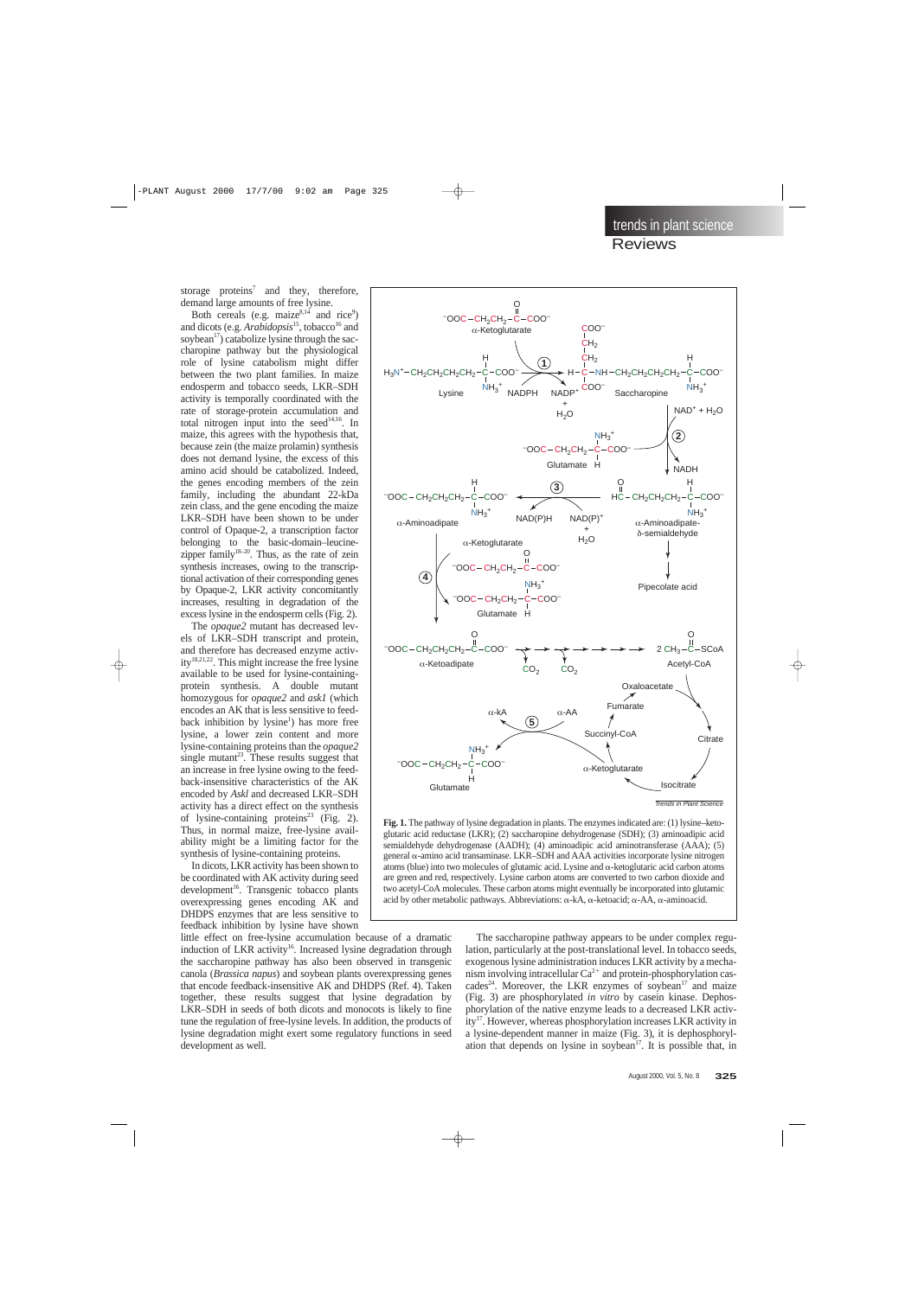$NH<sub>3</sub>$ +

COO–

**Saccharopine**  $CH<sub>2</sub>CH<sub>2</sub>CH<sub>2</sub>$ 

storage proteins<sup>7</sup> and they, therefore, demand large amounts of free lysine.

Both cereals (e.g. maize $^{8,14}$  and rice<sup>9</sup>) and dicots (e.g. *Arabidopsis*<sup>15</sup>, tobacco<sup>16</sup> and soybean<sup>17</sup>) catabolize lysine through the saccharopine pathway but the physiological role of lysine catabolism might differ between the two plant families. In maize endosperm and tobacco seeds, LKR–SDH activity is temporally coordinated with the rate of storage-protein accumulation and total nitrogen input into the seed<sup>14,16</sup>. In maize, this agrees with the hypothesis that, because zein (the maize prolamin) synthesis does not demand lysine, the excess of this amino acid should be catabolized. Indeed, the genes encoding members of the zein family, including the abundant 22-kDa zein class, and the gene encoding the maize LKR–SDH have been shown to be under control of Opaque-2, a transcription factor belonging to the basic-domain–leucinezipper family<sup>18–20</sup>. Thus, as the rate of zein synthesis increases, owing to the transcriptional activation of their corresponding genes by Opaque-2, LKR activity concomitantly increases, resulting in degradation of the excess lysine in the endosperm cells (Fig. 2).

The *opaque2* mutant has decreased levels of LKR–SDH transcript and protein, and therefore has decreased enzyme activity18,21,22. This might increase the free lysine available to be used for lysine-containingprotein synthesis. A double mutant homozygous for *opaque2* and *ask1* (which encodes an AK that is less sensitive to feedback inhibition by lysine<sup>1</sup>) has more free lysine, a lower zein content and more lysine-containing proteins than the *opaque2* single mutant<sup>23</sup>. These results suggest that an increase in free lysine owing to the feedback-insensitive characteristics of the AK encoded by *Askl* and decreased LKR–SDH activity has a direct effect on the synthesis of lysine-containing proteins<sup>23</sup> (Fig. 2). Thus, in normal maize, free-lysine availability might be a limiting factor for the synthesis of lysine-containing proteins.

In dicots, LKR activity has been shown to be coordinated with AK activity during seed development<sup>16</sup>. Transgenic tobacco plants overexpressing genes encoding AK and DHDPS enzymes that are less sensitive to feedback inhibition by lysine have shown

little effect on free-lysine accumulation because of a dramatic induction of LKR activity<sup>16</sup>. Increased lysine degradation through the saccharopine pathway has also been observed in transgenic canola (*Brassica napus*) and soybean plants overexpressing genes that encode feedback-insensitive AK and DHDPS (Ref. 4). Taken together, these results suggest that lysine degradation by LKR–SDH in seeds of both dicots and monocots is likely to fine tune the regulation of free-lysine levels. In addition, the products of lysine degradation might exert some regulatory functions in seed development as well.



O

C

NADPH

Lysine

H<sub>2</sub>N<sup>+</sup>-CH<sub>2</sub>CH<sub>2</sub>CH<sub>2</sub>CH<sub>2</sub>

 $-COC - CH<sub>2</sub>CH<sub>2</sub>$ 

 $NH<sub>3</sub><sup>+</sup>$ 

COO–

 $\alpha$ -Ketoglutarate

H

**1**

COO–

NADP+ +

 $CH<sub>2</sub>$  $CH<sub>2</sub>$ COO–

COO–

The saccharopine pathway appears to be under complex regulation, particularly at the post-translational level. In tobacco seeds, exogenous lysine administration induces LKR activity by a mechanism involving intracellular  $Ca^{2+}$  and protein-phosphorylation cascades<sup>24</sup>. Moreover, the LKR enzymes of soybean<sup>17</sup> and maize (Fig. 3) are phosphorylated *in vitro* by casein kinase. Dephosphorylation of the native enzyme leads to a decreased LKR activity<sup>17</sup>. However, whereas phosphorylation increases LKR activity in a lysine-dependent manner in maize (Fig. 3), it is dephosphorylation that depends on lysine in soybean<sup>17</sup>. It is possible that, in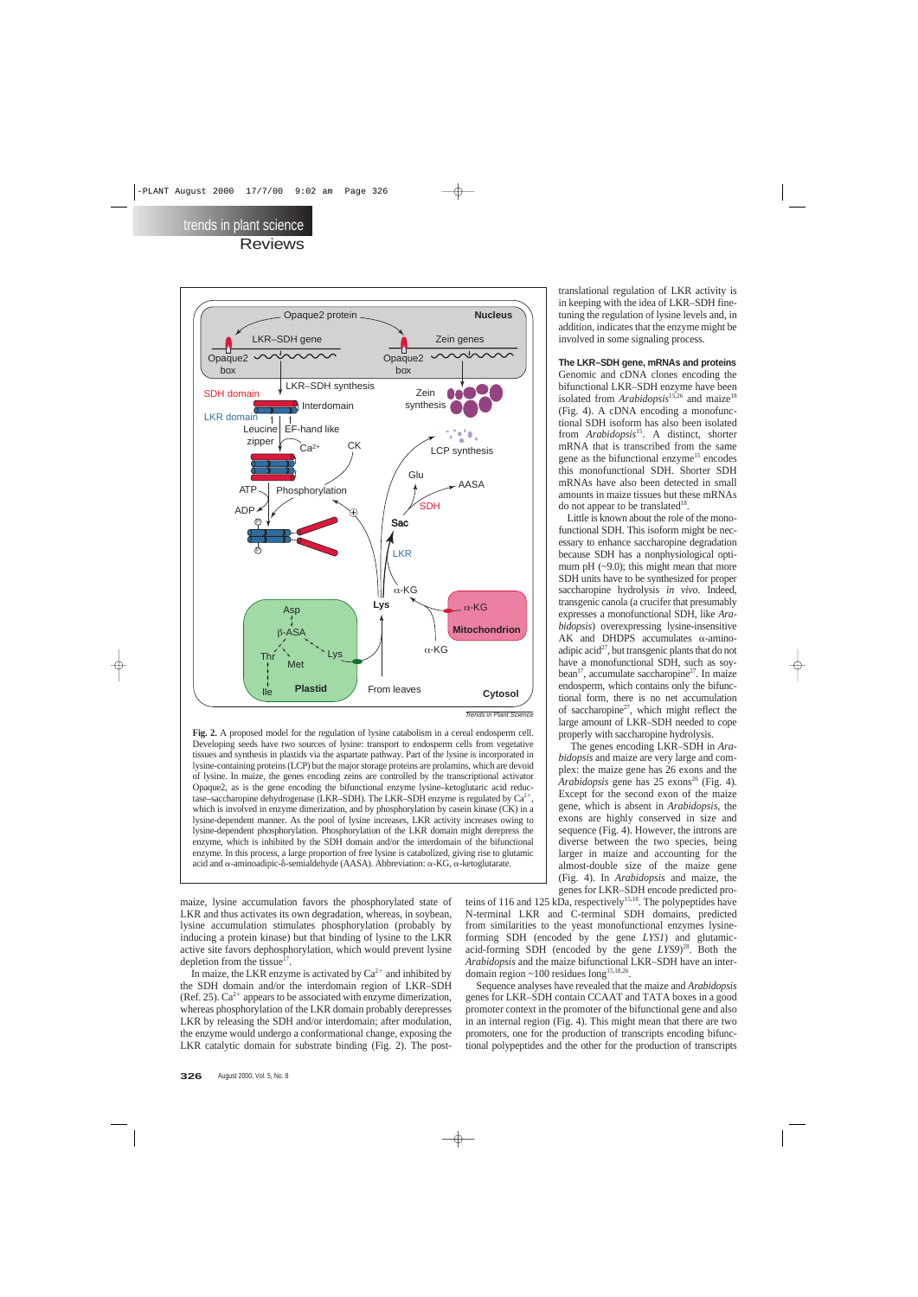

Trends in Plant Science

**Fig. 2.** A proposed model for the regulation of lysine catabolism in a cereal endosperm cell. Developing seeds have two sources of lysine: transport to endosperm cells from vegetative tissues and synthesis in plastids via the aspartate pathway. Part of the lysine is incorporated in lysine-containing proteins (LCP) but the major storage proteins are prolamins, which are devoid of lysine. In maize, the genes encoding zeins are controlled by the transcriptional activator Opaque2, as is the gene encoding the bifunctional enzyme lysine–ketoglutaric acid reductase–saccharopine dehydrogenase (LKR–SDH). The LKR–SDH enzyme is regulated by  $Ca^{2+}$ , which is involved in enzyme dimerization, and by phosphorylation by casein kinase (CK) in a lysine-dependent manner. As the pool of lysine increases, LKR activity increases owing to lysine-dependent phosphorylation. Phosphorylation of the LKR domain might derepress the enzyme, which is inhibited by the SDH domain and/or the interdomain of the bifunctional enzyme. In this process, a large proportion of free lysine is catabolized, giving rise to glutamic acid and  $\alpha$ -aminoadipic- $\delta$ -semialdehyde (AASA). Abbreviation:  $\alpha$ -KG,  $\alpha$ -ketoglutarate.

maize, lysine accumulation favors the phosphorylated state of LKR and thus activates its own degradation, whereas, in soybean, lysine accumulation stimulates phosphorylation (probably by inducing a protein kinase) but that binding of lysine to the LKR active site favors dephosphorylation, which would prevent lysine depletion from the tissue $^{17}$ .

In maize, the LKR enzyme is activated by  $Ca^{2+}$  and inhibited by the SDH domain and/or the interdomain region of LKR–SDH (Ref. 25).  $Ca^{2+}$  appears to be associated with enzyme dimerization, whereas phosphorylation of the LKR domain probably derepresses LKR by releasing the SDH and/or interdomain; after modulation, the enzyme would undergo a conformational change, exposing the LKR catalytic domain for substrate binding (Fig. 2). The posttranslational regulation of LKR activity is in keeping with the idea of LKR–SDH finetuning the regulation of lysine levels and, in addition, indicates that the enzyme might be involved in some signaling process.

**The LKR–SDH gene, mRNAs and proteins** Genomic and cDNA clones encoding the bifunctional LKR–SDH enzyme have been isolated from *Arabidopsis*<sup>15,26</sup> and maize<sup>18</sup> (Fig. 4). A cDNA encoding a monofunctional SDH isoform has also been isolated from *Arabidopsis*15. A distinct, shorter mRNA that is transcribed from the same gene as the bifunctional enzyme<sup>15</sup> encodes this monofunctional SDH. Shorter SDH mRNAs have also been detected in small amounts in maize tissues but these mRNAs do not appear to be translated<sup>18</sup>.

Little is known about the role of the monofunctional SDH. This isoform might be necessary to enhance saccharopine degradation because SDH has a nonphysiological optimum pH  $(-9.0)$ ; this might mean that more SDH units have to be synthesized for proper saccharopine hydrolysis *in vivo*. Indeed, transgenic canola (a crucifer that presumably expresses a monofunctional SDH, like *Arabidopsis*) overexpressing lysine-insensitive AK and DHDPS accumulates  $\alpha$ -aminoadipic acid<sup>27</sup>, but transgenic plants that do not have a monofunctional SDH, such as soybean<sup>17</sup>, accumulate saccharopine<sup>27</sup>. In maize endosperm, which contains only the bifunctional form, there is no net accumulation of saccharopine<sup>27</sup>, which might reflect the large amount of LKR–SDH needed to cope properly with saccharopine hydrolysis.

The genes encoding LKR–SDH in *Arabidopsis* and maize are very large and complex: the maize gene has 26 exons and the *Arabidopsis* gene has 25 exons<sup>26</sup> (Fig. 4). Except for the second exon of the maize gene, which is absent in *Arabidopsis*, the exons are highly conserved in size and sequence (Fig. 4). However, the introns are diverse between the two species, being larger in maize and accounting for the almost-double size of the maize gene (Fig. 4). In *Arabidopsis* and maize, the genes for LKR–SDH encode predicted pro-

teins of 116 and 125 kDa, respectively<sup>15,18</sup>. The polypeptides have N-terminal LKR and C-terminal SDH domains, predicted from similarities to the yeast monofunctional enzymes lysineforming SDH (encoded by the gene *LYS1*) and glutamicacid-forming SDH (encoded by the gene *LYS9*) 28. Both the *Arabidopsis* and the maize bifunctional LKR–SDH have an interdomain region  $\sim$  100 residues long<sup>15,18,26</sup>.

Sequence analyses have revealed that the maize and *Arabidopsis* genes for LKR–SDH contain CCAAT and TATA boxes in a good promoter context in the promoter of the bifunctional gene and also in an internal region (Fig. 4). This might mean that there are two promoters, one for the production of transcripts encoding bifunctional polypeptides and the other for the production of transcripts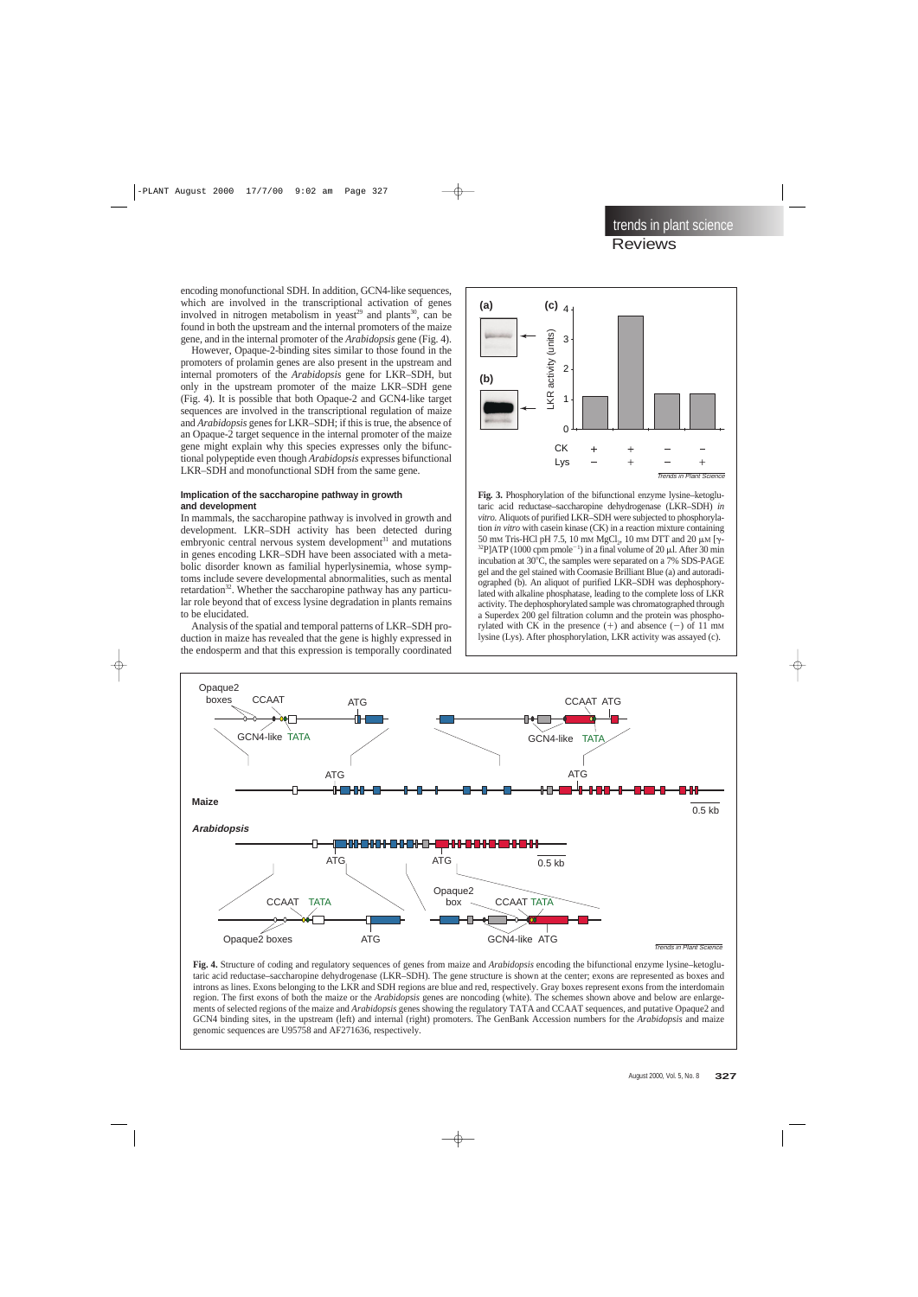encoding monofunctional SDH. In addition, GCN4-like sequences, which are involved in the transcriptional activation of genes involved in nitrogen metabolism in yeast<sup>29</sup> and plants<sup>30</sup>, can be found in both the upstream and the internal promoters of the maize gene, and in the internal promoter of the *Arabidopsis* gene (Fig. 4).

However, Opaque-2-binding sites similar to those found in the promoters of prolamin genes are also present in the upstream and internal promoters of the *Arabidopsis* gene for LKR–SDH, but only in the upstream promoter of the maize LKR–SDH gene (Fig. 4). It is possible that both Opaque-2 and GCN4-like target sequences are involved in the transcriptional regulation of maize and *Arabidopsis* genes for LKR–SDH; if this is true, the absence of an Opaque-2 target sequence in the internal promoter of the maize gene might explain why this species expresses only the bifunctional polypeptide even though *Arabidopsis* expresses bifunctional LKR–SDH and monofunctional SDH from the same gene.

### **Implication of the saccharopine pathway in growth and development**

In mammals, the saccharopine pathway is involved in growth and development. LKR–SDH activity has been detected during embryonic central nervous system development $31$  and mutations in genes encoding LKR–SDH have been associated with a metabolic disorder known as familial hyperlysinemia, whose symptoms include severe developmental abnormalities, such as mental retardation<sup>32</sup>. Whether the saccharopine pathway has any particular role beyond that of excess lysine degradation in plants remains to be elucidated.

Analysis of the spatial and temporal patterns of LKR–SDH production in maize has revealed that the gene is highly expressed in the endosperm and that this expression is temporally coordinated



**Fig. 3.** Phosphorylation of the bifunctional enzyme lysine–ketoglutaric acid reductase–saccharopine dehydrogenase (LKR–SDH) *in vitro.* Aliquots of purified LKR–SDH were subjected to phosphorylation *in vitro* with casein kinase (CK) in a reaction mixture containing 50 mm Tris-HCl pH 7.5, 10 mm MgCl<sub>2</sub>, 10 mm DTT and 20  $\mu$ M [ $\gamma$ -<sup>32</sup>P]ATP (1000 cpm pmole<sup>-1</sup>) in a final volume of 20  $\mu$ l. After 30 min incubation at  $30^{\circ}$ C, the samples were separated on a 7% SDS-PAGE gel and the gel stained with Coomasie Brilliant Blue (a) and autoradiographed (b). An aliquot of purified LKR–SDH was dephosphorylated with alkaline phosphatase, leading to the complete loss of LKR activity. The dephosphorylated sample was chromatographed through a Superdex 200 gel filtration column and the protein was phosphorylated with CK in the presence  $(+)$  and absence  $(-)$  of 11 mM lysine (Lys). After phosphorylation, LKR activity was assayed (c).



**Fig. 4.** Structure of coding and regulatory sequences of genes from maize and *Arabidopsis* encoding the bifunctional enzyme lysine–ketoglutaric acid reductase–saccharopine dehydrogenase (LKR–SDH). The gene structure is shown at the center; exons are represented as boxes and introns as lines. Exons belonging to the LKR and SDH regions are blue and red, respectively. Gray boxes represent exons from the interdomain region. The first exons of both the maize or the *Arabidopsis* genes are noncoding (white). The schemes shown above and below are enlargements of selected regions of the maize and *Arabidopsis* genes showing the regulatory TATA and CCAAT sequences, and putative Opaque2 and GCN4 binding sites, in the upstream (left) and internal (right) promoters. The GenBank Accession numbers for the *Arabidopsis* and maize genomic sequences are U95758 and AF271636, respectively.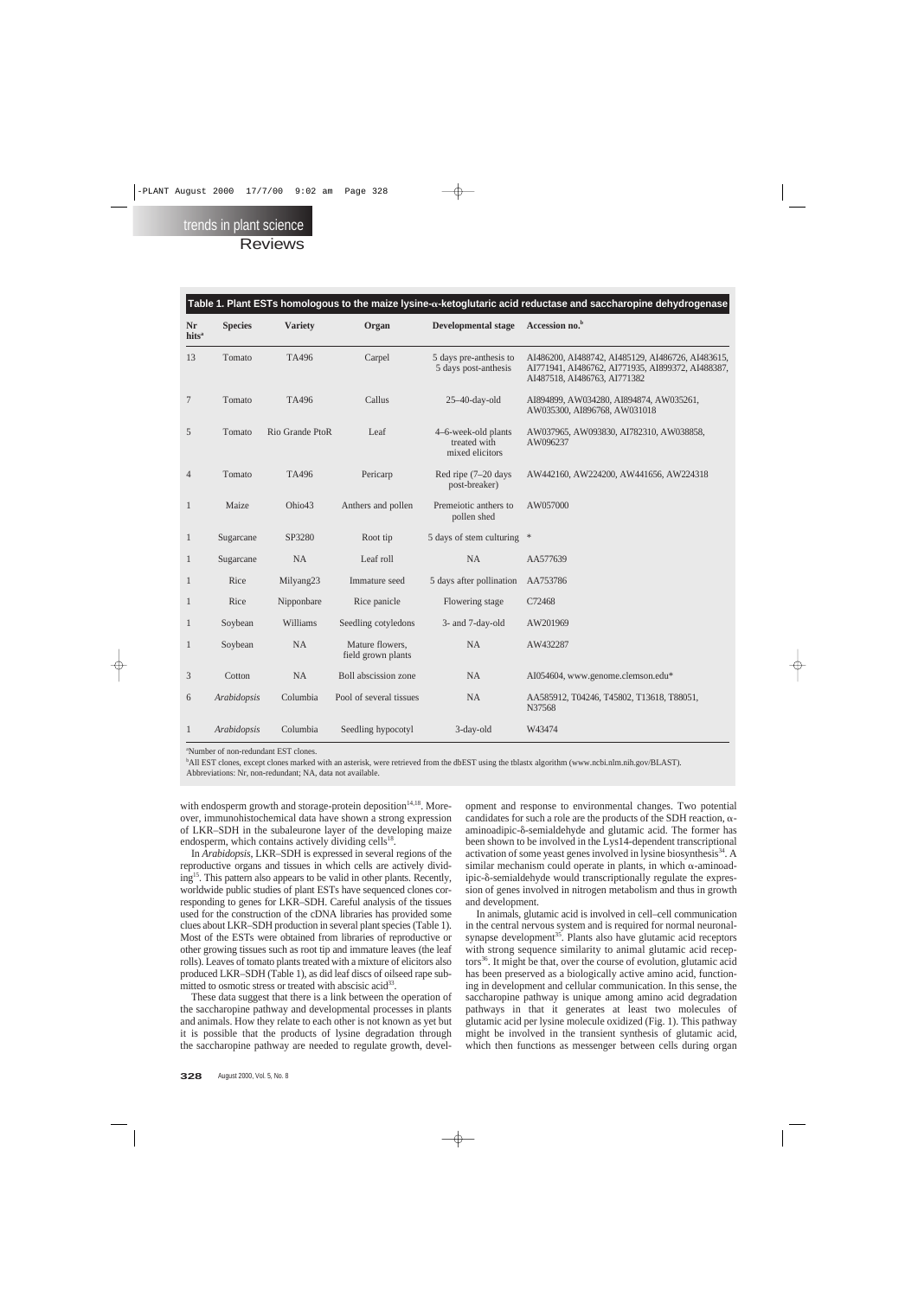| <b>Nr</b><br>hits <sup>a</sup> | <b>Species</b> | <b>Variety</b>  | Organ                                 | <b>Developmental stage</b>                             | Accession no. <sup>b</sup>                                                                                                             |
|--------------------------------|----------------|-----------------|---------------------------------------|--------------------------------------------------------|----------------------------------------------------------------------------------------------------------------------------------------|
| 13                             | Tomato         | TA496           | Carpel                                | 5 days pre-anthesis to<br>5 days post-anthesis         | AI486200, AI488742, AI485129, AI486726, AI483615,<br>AI771941, AI486762, AI771935, AI899372, AI488387,<br>AI487518, AI486763, AI771382 |
| 7                              | Tomato         | TA496           | Callus                                | 25-40-day-old                                          | AI894899, AW034280, AI894874, AW035261,<br>AW035300, AI896768, AW031018                                                                |
| 5                              | Tomato         | Rio Grande PtoR | Leaf                                  | 4–6-week-old plants<br>treated with<br>mixed elicitors | AW037965, AW093830, AI782310, AW038858,<br>AW096237                                                                                    |
| $\overline{4}$                 | Tomato         | TA496           | Pericarp                              | Red ripe (7–20 days<br>post-breaker)                   | AW442160, AW224200, AW441656, AW224318                                                                                                 |
| $\mathbf{1}$                   | Maize          | Ohio43          | Anthers and pollen                    | Premeiotic anthers to<br>pollen shed                   | AW057000                                                                                                                               |
| 1                              | Sugarcane      | SP3280          | Root tip                              | 5 days of stem culturing *                             |                                                                                                                                        |
| 1                              | Sugarcane      | <b>NA</b>       | Leaf roll                             | <b>NA</b>                                              | AA577639                                                                                                                               |
| 1                              | Rice           | Milyang23       | Immature seed                         | 5 days after pollination                               | AA753786                                                                                                                               |
| 1                              | Rice           | Nipponbare      | Rice panicle                          | Flowering stage                                        | C72468                                                                                                                                 |
| 1                              | Soybean        | Williams        | Seedling cotyledons                   | 3- and 7-day-old                                       | AW201969                                                                                                                               |
| 1                              | Soybean        | NA              | Mature flowers,<br>field grown plants | <b>NA</b>                                              | AW432287                                                                                                                               |
| 3                              | Cotton         | <b>NA</b>       | Boll abscission zone                  | <b>NA</b>                                              | AI054604, www.genome.clemson.edu*                                                                                                      |
| 6                              | Arabidopsis    | Columbia        | Pool of several tissues               | <b>NA</b>                                              | AA585912, T04246, T45802, T13618, T88051,<br>N37568                                                                                    |
| 1                              | Arabidopsis    | Columbia        | Seedling hypocotyl                    | 3-day-old                                              | W43474                                                                                                                                 |

**Table 1. Plant ESTs homologous to the maize lysine-**a**-ketoglutaric acid reductase and saccharopine dehydrogenase** 

a Number of non-redundant EST clones.

b All EST clones, except clones marked with an asterisk, were retrieved from the dbEST using the tblastx algorithm (www.ncbi.nlm.nih.gov/BLAST). Abbreviations: Nr, non-redundant; NA, data not available.

with endosperm growth and storage-protein deposition<sup>14,18</sup>. Moreover, immunohistochemical data have shown a strong expression of LKR–SDH in the subaleurone layer of the developing maize endosperm, which contains actively dividing cells $^{18}$ .

In *Arabidopsis*, LKR–SDH is expressed in several regions of the reproductive organs and tissues in which cells are actively dividing15. This pattern also appears to be valid in other plants. Recently, worldwide public studies of plant ESTs have sequenced clones corresponding to genes for LKR–SDH. Careful analysis of the tissues used for the construction of the cDNA libraries has provided some clues about LKR–SDH production in several plant species (Table 1). Most of the ESTs were obtained from libraries of reproductive or other growing tissues such as root tip and immature leaves (the leaf rolls). Leaves of tomato plants treated with a mixture of elicitors also produced LKR–SDH (Table 1), as did leaf discs of oilseed rape submitted to osmotic stress or treated with abscisic acid<sup>33</sup>.

These data suggest that there is a link between the operation of the saccharopine pathway and developmental processes in plants and animals. How they relate to each other is not known as yet but it is possible that the products of lysine degradation through the saccharopine pathway are needed to regulate growth, development and response to environmental changes. Two potential candidates for such a role are the products of the SDH reaction,  $\alpha$ aminoadipic- $\delta$ -semialdehyde and glutamic acid. The former has been shown to be involved in the Lys14-dependent transcriptional activation of some yeast genes involved in lysine biosynthesis<sup>34</sup>. A similar mechanism could operate in plants, in which  $\alpha$ -aminoad $ipic-\delta$ -semialdehyde would transcriptionally regulate the expression of genes involved in nitrogen metabolism and thus in growth and development.

In animals, glutamic acid is involved in cell–cell communication in the central nervous system and is required for normal neuronalsynapse development $35$ . Plants also have glutamic acid receptors with strong sequence similarity to animal glutamic acid receptors<sup>36</sup>. It might be that, over the course of evolution, glutamic acid has been preserved as a biologically active amino acid, functioning in development and cellular communication. In this sense, the saccharopine pathway is unique among amino acid degradation pathways in that it generates at least two molecules of glutamic acid per lysine molecule oxidized (Fig. 1). This pathway might be involved in the transient synthesis of glutamic acid, which then functions as messenger between cells during organ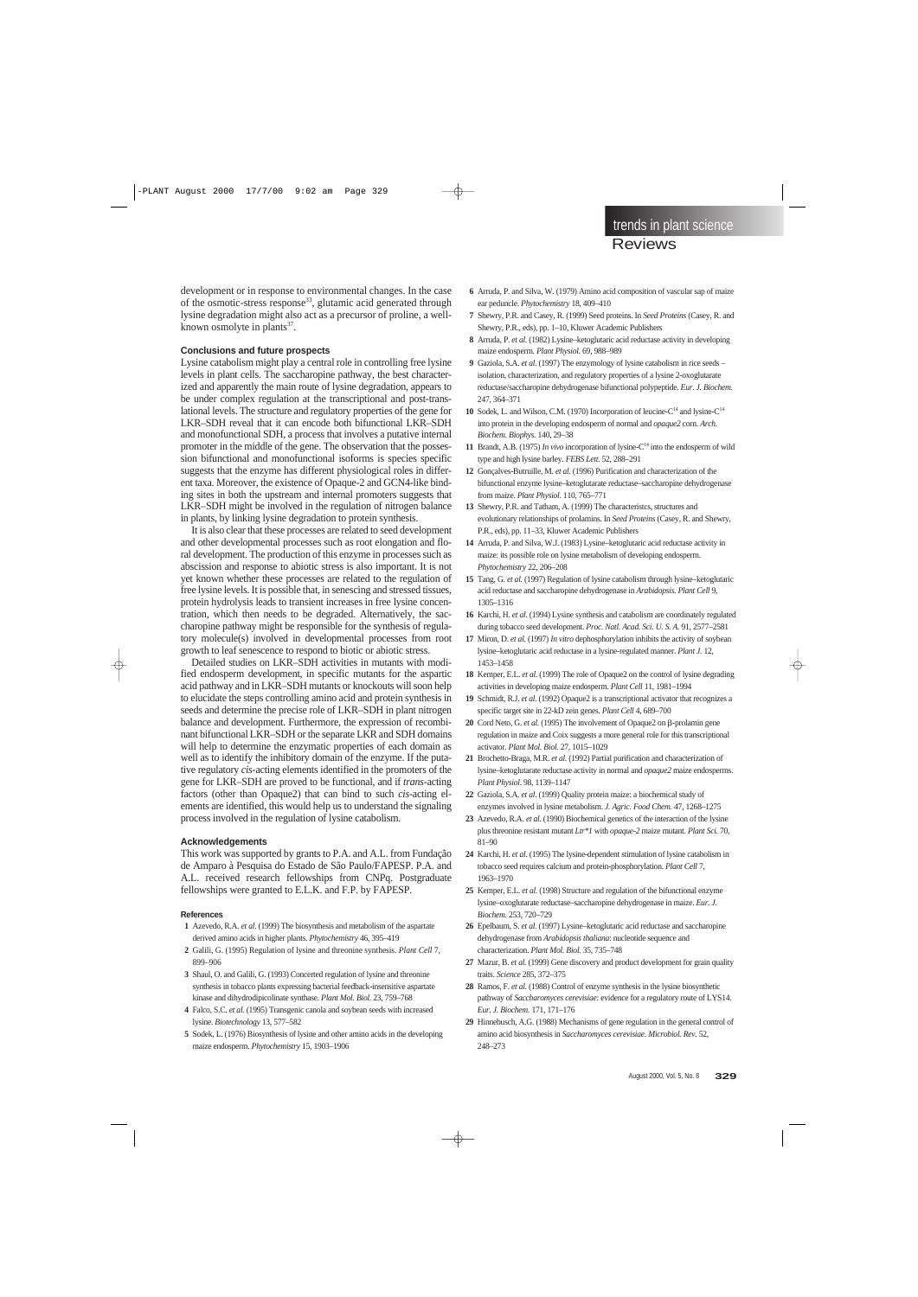development or in response to environmental changes. In the case of the osmotic-stress response<sup>33</sup>, glutamic acid generated through lysine degradation might also act as a precursor of proline, a wellknown osmolyte in plants $37$ .

#### **Conclusions and future prospects**

Lysine catabolism might play a central role in controlling free lysine levels in plant cells. The saccharopine pathway, the best characterized and apparently the main route of lysine degradation, appears to be under complex regulation at the transcriptional and post-translational levels. The structure and regulatory properties of the gene for LKR–SDH reveal that it can encode both bifunctional LKR–SDH and monofunctional SDH, a process that involves a putative internal promoter in the middle of the gene. The observation that the possession bifunctional and monofunctional isoforms is species specific suggests that the enzyme has different physiological roles in different taxa. Moreover, the existence of Opaque-2 and GCN4-like binding sites in both the upstream and internal promoters suggests that LKR–SDH might be involved in the regulation of nitrogen balance in plants, by linking lysine degradation to protein synthesis.

It is also clear that these processes are related to seed development and other developmental processes such as root elongation and floral development. The production of this enzyme in processes such as abscission and response to abiotic stress is also important. It is not yet known whether these processes are related to the regulation of free lysine levels. It is possible that, in senescing and stressed tissues, protein hydrolysis leads to transient increases in free lysine concentration, which then needs to be degraded. Alternatively, the saccharopine pathway might be responsible for the synthesis of regulatory molecule(s) involved in developmental processes from root growth to leaf senescence to respond to biotic or abiotic stress.

Detailed studies on LKR–SDH activities in mutants with modified endosperm development, in specific mutants for the aspartic acid pathway and in LKR–SDH mutants or knockouts will soon help to elucidate the steps controlling amino acid and protein synthesis in seeds and determine the precise role of LKR–SDH in plant nitrogen balance and development. Furthermore, the expression of recombinant bifunctional LKR–SDH or the separate LKR and SDH domains will help to determine the enzymatic properties of each domain as well as to identify the inhibitory domain of the enzyme. If the putative regulatory *cis*-acting elements identified in the promoters of the gene for LKR–SDH are proved to be functional, and if *trans*-acting factors (other than Opaque2) that can bind to such *cis*-acting elements are identified, this would help us to understand the signaling process involved in the regulation of lysine catabolism.

#### **Acknowledgements**

This work was supported by grants to P.A. and A.L. from Fundação de Amparo à Pesquisa do Estado de São Paulo/FAPESP. P.A. and A.L. received research fellowships from CNPq. Postgraduate fellowships were granted to E.L.K. and F.P. by FAPESP.

#### **References**

- **01** Azevedo, R.A. *et al*. (1999) The biosynthesis and metabolism of the aspartate derived amino acids in higher plants. *Phytochemistry* 46, 395–419
- **02** Galili, G. (1995) Regulation of lysine and threonine synthesis. *Plant Cell* 7, 899–906
- **03** Shaul, O. and Galili, G. (1993) Concerted regulation of lysine and threonine synthesis in tobacco plants expressing bacterial feedback-insensitive aspartate kinase and dihydrodipicolinate synthase. *Plant Mol. Biol.* 23, 759–768
- **04** Falco, S.C. *et al.* (1995) Transgenic canola and soybean seeds with increased lysine. *Biotechnology* 13, 577–582
- **05** Sodek, L. (1976) Biosynthesis of lysine and other amino acids in the developing maize endosperm. *Phytochemistry* 15, 1903–1906
- **06** Arruda, P. and Silva, W. (1979) Amino acid composition of vascular sap of maize ear peduncle. *Phytochemistry* 18, 409–410
- **07** Shewry, P.R. and Casey, R. (1999) Seed proteins. In *Seed Proteins* (Casey, R. and Shewry, P.R., eds), pp. 1–10, Kluwer Academic Publishers
- **08** Arruda, P. *et al.* (1982) Lysine–ketoglutaric acid reductase activity in developing maize endosperm. *Plant Physiol*. 69, 988-989
- **09** Gaziola, S.A. *et al.* (1997) The enzymology of lysine catabolism in rice seeds isolation, characterization, and regulatory properties of a lysine 2-oxoglutarate reductase/saccharopine dehydrogenase bifunctional polypeptide. *Eur. J. Biochem.* 247, 364–371
- 10 Sodek, L. and Wilson, C.M. (1970) Incorporation of leucine-C<sup>14</sup> and lysine-C<sup>14</sup> into protein in the developing endosperm of normal and *opaque2* corn. *Arch. Biochem. Biophys.* 140, 29–38
- **11** Brandt, A.B. (1975) *In vivo* incorporation of lysine- $C<sup>14</sup>$  into the endosperm of wild type and high lysine barley. *FEBS Lett.* 52, 288–291
- **12** Gonçalves-Butruille, M. *et al.* (1996) Purification and characterization of the bifunctional enzyme lysine–ketoglutarate reductase–saccharopine dehydrogenase from maize. *Plant Physiol*. 110, 765–771
- **13** Shewry, P.R. and Tatham, A. (1999) The characteristcs, structures and evolutionary relationships of prolamins. In *Seed Proteins* (Casey, R. and Shewry, P.R., eds), pp. 11–33, Kluwer Academic Publishers
- **14** Arruda, P. and Silva, W.J. (1983) Lysine–ketoglutaric acid reductase activity in maize: its possible role on lysine metabolism of developing endosperm. *Phytochemistry* 22, 206–208
- **15** Tang, G. *et al.* (1997) Regulation of lysine catabolism through lysine–ketoglutaric acid reductase and saccharopine dehydrogenase in *Arabidopsis*. *Plant Cell* 9, 1305–1316
- **16** Karchi, H. *et al.* (1994) Lysine synthesis and catabolism are coordinately regulated during tobacco seed development. *Proc. Natl. Acad. Sci. U. S. A.* 91, 2577–2581
- **17** Miron, D. *et al.* (1997) *In vitro* dephosphorylation inhibits the activity of soybean lysine–ketoglutaric acid reductase in a lysine-regulated manner. *Plant J.* 12, 1453–1458
- **18** Kemper, E.L. *et al.* (1999) The role of Opaque2 on the control of lysine degrading activities in developing maize endosperm. *Plant Cell* 11, 1981–1994
- **19** Schmidt, R.J. *et al.* (1992) Opaque2 is a transcriptional activator that recognizes a specific target site in 22-kD zein genes. *Plant Cell* 4, 689–700
- **20** Cord Neto, G. *et al.* (1995) The involvement of Opaque2 on β-prolamin gene regulation in maize and Coix suggests a more general role for this transcriptional activator. *Plant Mol. Biol.* 27, 1015–1029
- **21** Brochetto-Braga, M.R. *et al.* (1992) Partial purification and characterization of lysine–ketoglutarate reductase activity in normal and *opaque2* maize endosperms. *Plant Physiol*. 98, 1139–1147
- **22** Gaziola, S.A. *et al*. (1999) Quality protein maize: a biochemical study of enzymes involved in lysine metabolism. *J. Agric. Food Chem.* 47, 1268–1275
- **23** Azevedo, R.A. *et al.* (1990) Biochemical genetics of the interaction of the lysine plus threonine resistant mutant *Ltr\*1* with *opaque-2* maize mutant. *Plant Sci.* 70, 81–90
- **24** Karchi, H. *et al.* (1995) The lysine-dependent stimulation of lysine catabolism in tobacco seed requires calcium and protein-phosphorylation. *Plant Cell* 7, 1963–1970
- **25** Kemper, E.L. *et al.* (1998) Structure and regulation of the bifunctional enzyme lysine–oxoglutarate reductase–saccharopine dehydrogenase in maize. *Eur. J. Biochem.* 253, 720–729
- **26** Epelbaum, S. *et al.* (1997) Lysine–ketoglutaric acid reductase and saccharopine dehydrogenase from *Arabidopsis thaliana*: nucleotide sequence and characterization. *Plant Mol. Biol.* 35, 735–748
- **27** Mazur, B. *et al.* (1999) Gene discovery and product development for grain quality traits. *Science* 285, 372–375
- **28** Ramos, F. *et al.* (1988) Control of enzyme synthesis in the lysine biosynthetic pathway of *Saccharomyces cerevisiae*: evidence for a regulatory route of LYS14. *Eur. J. Biochem.* 171, 171–176
- **29** Hinnebusch, A.G. (1988) Mechanisms of gene regulation in the general control of amino acid biosynthesis in *Saccharomyces cerevisiae*. *Microbiol. Rev.* 52, 248–273